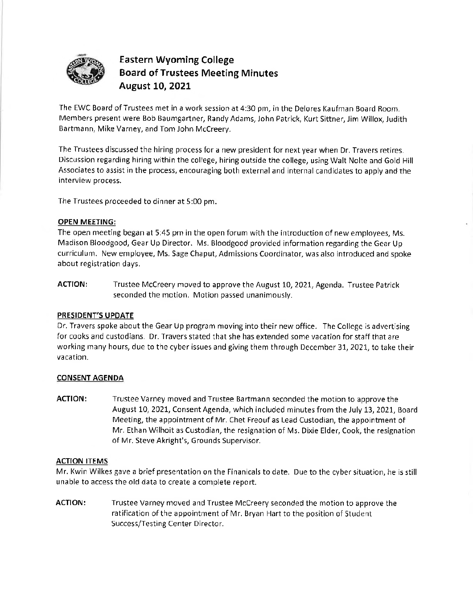

# - **Eastern Wyoming College 0 Board of Trustees Meeting Minutes August 10, 2021**

The EWC Board of Trustees met in a work session at 4:30 pm, in the Delores Kaufman Board Room. Members present were Bob Baumgartner, Randy Adams, John Patrick, Kurt Sittner, Jim Willox, Judith Bartmann, **Mike** Varney, and Tom John Mccreery.

The Trustees discussed the hiring process for a new president for next year when Dr. Travers retires. Discussion regarding hiring within the college, hiring outside the college, using Walt Nolte and Gold Hill Associates to assist in the process, encouraging both external and internal candidates to apply and the interview process.

The Trustees proceeded to dinner at 5:00 pm.

## **OPEN MEETING:**

The open meeting began at 5:45 pm in the open forum with the introduction of new employees, Ms. Madison Bloodgood, Gear Up Director. Ms. Bloodgood provided information regarding the Gear Up curriculum. New employee, Ms. Sage Chaput, Admissions Coordinator, was also introduced and spoke about registration days.

**ACTION:** Trustee Mccreery moved to approve the August 10, 2021, Agenda. Trustee Patrick seconded the motion. Motion passed unanimously.

### **PRESIDENT'S UPDATE**

Dr. Travers spoke about the Gear Up program moving into their new office. The College is advertising for cooks and custodians. Dr. Travers stated that she has extended some vacation for staff that are working many hours, due to the cyber issues and giving them through December 31, 2021, to take their vacation.

## **CONSENT AGENDA**

**ACTION:** Trustee Varney moved and Trustee Bartmann seconded the motion to approve the August 10, 2021, Consent Agenda, which included minutes from the July 13, 2021, Board Meeting, the appointment of Mr. Chet Freouf as Lead Custodian, the appointment of Mr. Ethan Wilhoit as Custodian, the resignation of Ms. Dixie Elder, Cook, the resignation of Mr. Steve Akright's, Grounds Supervisor.

### **ACTION ITEMS**

Mr. Kwin Wilkes gave a brief presentation on the Finanicals to date. Due to the cyber situation, he is still unable to access the old data to create a complete report.

**ACTION:** Trustee Varney moved and Trustee Mccreery seconded the motion to approve the ratification of the appointment of Mr. Bryan Hart to the position of Student Success/Testing Center Director.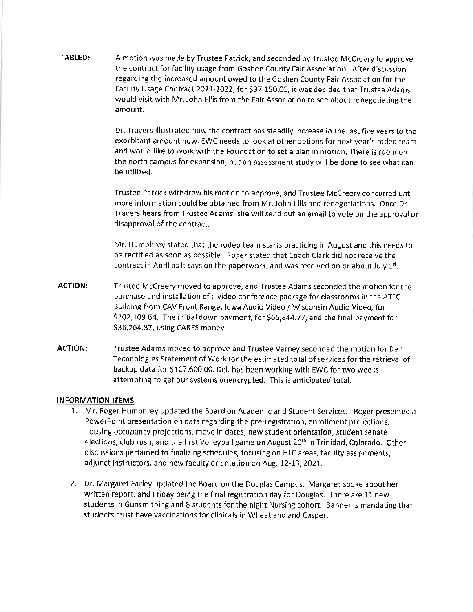**TABLED:** A motion was made by Trustee Patrick, and seconded by Trustee Mccreery to approve the contract for facility usage from Goshen County Fair Association. After discussion regarding the increased amount owed to the Goshen County Fair Association for the Facility Usage Contract 2021-2022, for [\\$37,150.00](https://37,150.00), it was decided that Trustee Adams would visit with Mr. John Ellis from the Fair Association to see about renegotiating the amount.

> Dr. Travers illustrated how the contract has steadily increase in the last five years to the exorbitant amount now. EWC needs to look at other options for next year's rodeo team and would like to work with the Foundation to set a plan in motion. There is room on the north campus for expansion, but an assessment study will be done to see what can be utilized.

> Trustee Patrick withdrew his motion to approve, and Trustee Mccreery concurred until more information could be obtained from Mr. John Ellis and renegotiations. Once Dr. Travers hears from Trustee Adams, she will send out an email to vote on the approval or disapproval of the contract.

Mr. Humphrey stated that the rodeo team starts practicing in August and this needs to be rectified as soon as possible. Roger stated that Coach Clark did not receive the contract in April as it says on the paperwork, and was received on or about July  $1^{st}$ .

- **ACTION:** Trustee Mccreery moved to approve, and Trustee Adams seconded the motion for the purchase and installation of a video conference package for classrooms in the ATEC Building from CAV Front Range, Iowa Audio Video/ Wisconsin Audio Video, for \$[102,109.64.](https://102,109.64) The initial down payment, for \$[65,844.77](https://65,844.77), and the final payment for \$[36,264.87](https://36,264.87), using CARES money.
- **ACTION:** Trustee Adams moved to approve and Trustee Varney seconded the motion for Dell Technologies Statement of Work for the estimated total of services for the retrieval of backup data for \$[127,600.00.](https://127,600.00) Dell has been working with EWC for two weeks attempting to get our systems unencrypted. This is anticipated total.

## **INFORMATION ITEMS**

- l. Mr. Roger Humphrey updated the Board on Academic and Student Services. Roger presented a PowerPoint presentation on data regarding the pre-registration, enrollment projections, housing occupancy projections, move in dates, new student orientation, student senate elections, club rush, and the first Volleyball game on August 20<sup>th</sup> in Trinidad, Colorado. Other discussions pertained to finalizing schedules, focusing on HLC areas, faculty assignments, adjunct instructors, and new faculty orientation on Aug. 12-13, 2021.
- 2. Dr. Margaret Farley updated the Board on the Douglas Campus. Margaret spoke about her written report, and Friday being the final registration day for Douglas. There are 11 new students in Gunsmithing and 8 students for the night Nursing cohort. Banner is mandating that students must have vaccinations for clinicals in Wheatland and Casper.